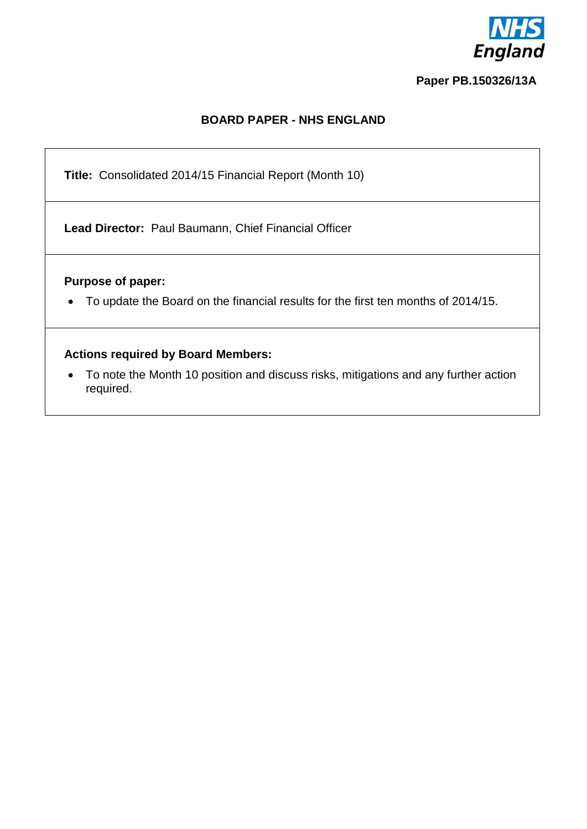

#### **Paper PB.150326/13A**

## **BOARD PAPER - NHS ENGLAND**

**Title:** Consolidated 2014/15 Financial Report (Month 10)

**Lead Director:** Paul Baumann, Chief Financial Officer

### **Purpose of paper:**

To update the Board on the financial results for the first ten months of 2014/15.

### **Actions required by Board Members:**

 To note the Month 10 position and discuss risks, mitigations and any further action required.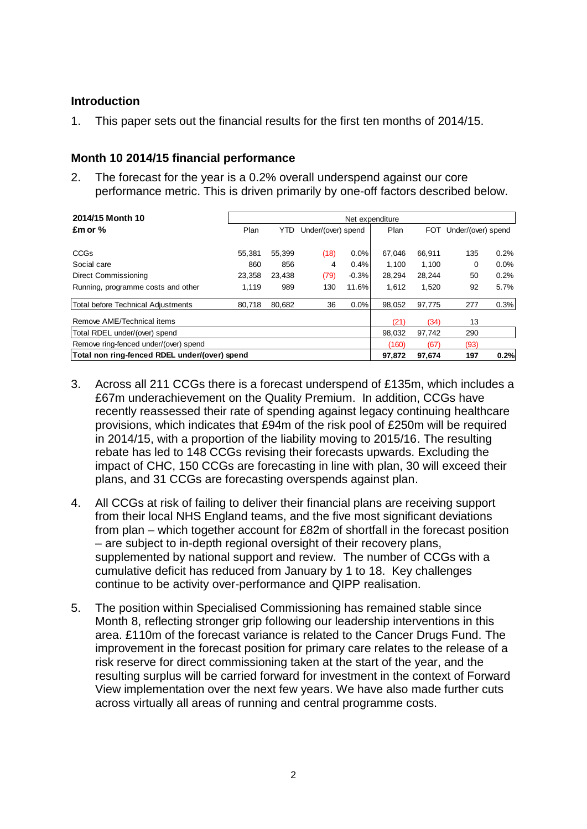### **Introduction**

1. This paper sets out the financial results for the first ten months of 2014/15.

### **Month 10 2014/15 financial performance**

2. The forecast for the year is a 0.2% overall underspend against our core performance metric. This is driven primarily by one-off factors described below.

| 2014/15 Month 10                              | Net expenditure |        |                    |         |        |            |                    |      |  |
|-----------------------------------------------|-----------------|--------|--------------------|---------|--------|------------|--------------------|------|--|
| $Emor$ %                                      | Plan            | YTD    | Under/(over) spend |         | Plan   | <b>FOT</b> | Under/(over) spend |      |  |
|                                               |                 |        |                    |         |        |            |                    |      |  |
| <b>CCGs</b>                                   | 55.381          | 55.399 | (18)               | $0.0\%$ | 67.046 | 66.911     | 135                | 0.2% |  |
| Social care                                   | 860             | 856    | 4                  | 0.4%    | 1.100  | 1.100      | 0                  | 0.0% |  |
| Direct Commissioning                          | 23.358          | 23.438 | (79)               | $-0.3%$ | 28.294 | 28.244     | 50                 | 0.2% |  |
| Running, programme costs and other            | 1.119           | 989    | 130                | 11.6%   | 1.612  | 1.520      | 92                 | 5.7% |  |
| <b>Total before Technical Adjustments</b>     | 80.718          | 80.682 | 36                 | 0.0%    | 98.052 | 97.775     | 277                | 0.3% |  |
| Remove AME/Technical items                    |                 |        |                    |         | (21)   | (34)       | 13                 |      |  |
| Total RDEL under/(over) spend                 |                 |        |                    |         | 98.032 | 97.742     | 290                |      |  |
| Remove ring-fenced under/(over) spend         |                 |        |                    |         |        | (67)       | (93)               |      |  |
| Total non ring-fenced RDEL under/(over) spend |                 |        |                    |         |        | 97.674     | 197                | 0.2% |  |

- 3. Across all 211 CCGs there is a forecast underspend of £135m, which includes a £67m underachievement on the Quality Premium. In addition, CCGs have recently reassessed their rate of spending against legacy continuing healthcare provisions, which indicates that £94m of the risk pool of £250m will be required in 2014/15, with a proportion of the liability moving to 2015/16. The resulting rebate has led to 148 CCGs revising their forecasts upwards. Excluding the impact of CHC, 150 CCGs are forecasting in line with plan, 30 will exceed their plans, and 31 CCGs are forecasting overspends against plan.
- 4. All CCGs at risk of failing to deliver their financial plans are receiving support from their local NHS England teams, and the five most significant deviations from plan – which together account for £82m of shortfall in the forecast position – are subject to in-depth regional oversight of their recovery plans, supplemented by national support and review. The number of CCGs with a cumulative deficit has reduced from January by 1 to 18. Key challenges continue to be activity over-performance and QIPP realisation.
- 5. The position within Specialised Commissioning has remained stable since Month 8, reflecting stronger grip following our leadership interventions in this area. £110m of the forecast variance is related to the Cancer Drugs Fund. The improvement in the forecast position for primary care relates to the release of a risk reserve for direct commissioning taken at the start of the year, and the resulting surplus will be carried forward for investment in the context of Forward View implementation over the next few years. We have also made further cuts across virtually all areas of running and central programme costs.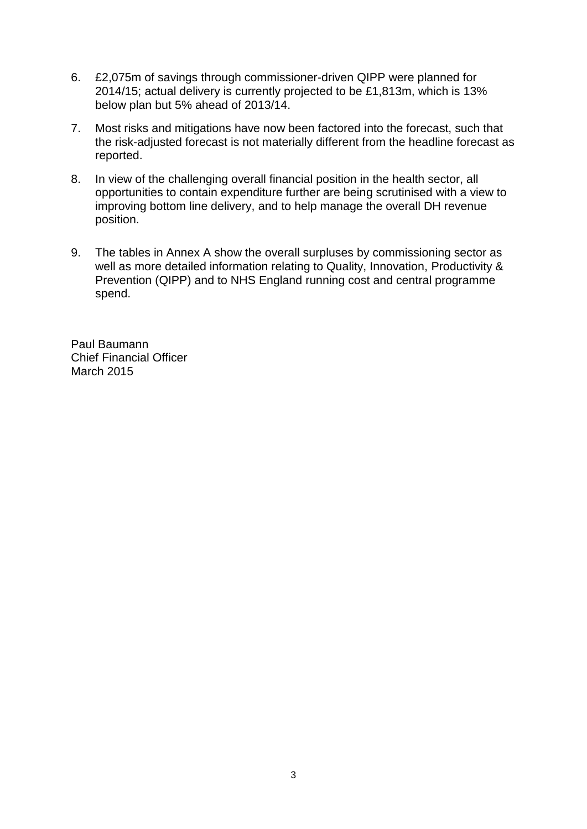- 6. £2,075m of savings through commissioner-driven QIPP were planned for 2014/15; actual delivery is currently projected to be £1,813m, which is 13% below plan but 5% ahead of 2013/14.
- 7. Most risks and mitigations have now been factored into the forecast, such that the risk-adjusted forecast is not materially different from the headline forecast as reported.
- 8. In view of the challenging overall financial position in the health sector, all opportunities to contain expenditure further are being scrutinised with a view to improving bottom line delivery, and to help manage the overall DH revenue position.
- 9. The tables in Annex A show the overall surpluses by commissioning sector as well as more detailed information relating to Quality, Innovation, Productivity & Prevention (QIPP) and to NHS England running cost and central programme spend.

Paul Baumann Chief Financial Officer March 2015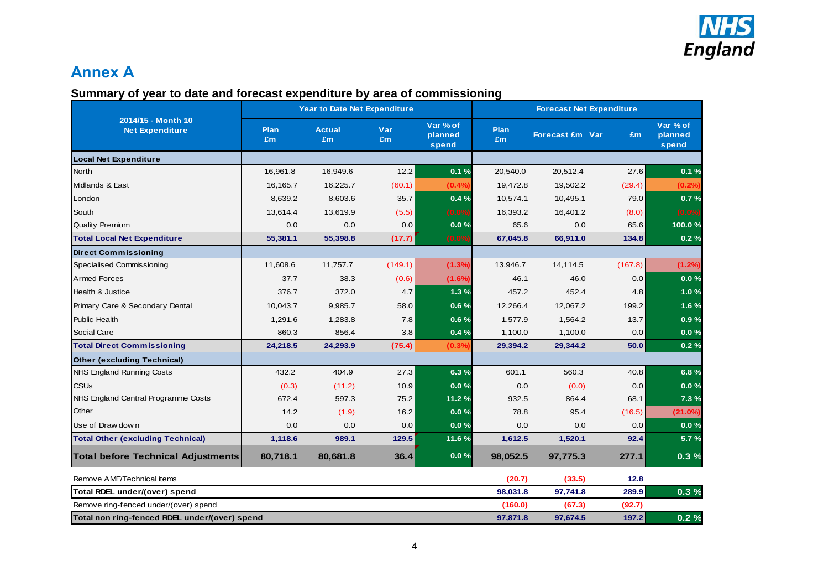

 $\overline{\phantom{a}}$ 

# **Annex A**

## **Summary of year to date and forecast expenditure by area of commissioning**

|                                               |                   | Year to Date Net Expenditure |           |                              | <b>Forecast Net Expenditure</b> |                        |         |                              |  |
|-----------------------------------------------|-------------------|------------------------------|-----------|------------------------------|---------------------------------|------------------------|---------|------------------------------|--|
| 2014/15 - Month 10<br><b>Net Expenditure</b>  | <b>Plan</b><br>£m | <b>Actual</b><br>£m          | Var<br>£m | Var % of<br>planned<br>spend | <b>Plan</b><br>£m               | <b>Forecast £m Var</b> | Em      | Var % of<br>planned<br>spend |  |
| <b>Local Net Expenditure</b>                  |                   |                              |           |                              |                                 |                        |         |                              |  |
| <b>North</b>                                  | 16,961.8          | 16,949.6                     | 12.2      | 0.1%                         | 20,540.0                        | 20,512.4               | 27.6    | 0.1%                         |  |
| Midlands & East                               | 16,165.7          | 16,225.7                     | (60.1)    | (0.4%                        | 19,472.8                        | 19,502.2               | (29.4)  | (0.2%)                       |  |
| London                                        | 8,639.2           | 8,603.6                      | 35.7      | 0.4%                         | 10,574.1                        | 10,495.1               | 79.0    | 0.7%                         |  |
| South                                         | 13,614.4          | 13,619.9                     | (5.5)     | $(0.0\%)$                    | 16,393.2                        | 16,401.2               | (8.0)   | $(0.0\%)$                    |  |
| <b>Quality Premium</b>                        | 0.0               | 0.0                          | 0.0       | 0.0%                         | 65.6                            | 0.0                    | 65.6    | 100.0%                       |  |
| <b>Total Local Net Expenditure</b>            | 55,381.1          | 55,398.8                     | (17.7)    | (0.0%                        | 67,045.8                        | 66,911.0               | 134.8   | 0.2%                         |  |
| <b>Direct Commissioning</b>                   |                   |                              |           |                              |                                 |                        |         |                              |  |
| Specialised Commissioning                     | 11,608.6          | 11,757.7                     | (149.1)   | (1.3%)                       | 13,946.7                        | 14,114.5               | (167.8) | (1.2%)                       |  |
| <b>Armed Forces</b>                           | 37.7              | 38.3                         | (0.6)     | (1.6%)                       | 46.1                            | 46.0                   | 0.0     | 0.0%                         |  |
| <b>Health &amp; Justice</b>                   | 376.7             | 372.0                        | 4.7       | 1.3%                         | 457.2                           | 452.4                  | 4.8     | 1.0%                         |  |
| Primary Care & Secondary Dental               | 10,043.7          | 9,985.7                      | 58.0      | 0.6%                         | 12,266.4                        | 12,067.2               | 199.2   | 1.6%                         |  |
| <b>Public Health</b>                          | 1,291.6           | 1,283.8                      | 7.8       | 0.6%                         | 1,577.9                         | 1,564.2                | 13.7    | 0.9%                         |  |
| Social Care                                   | 860.3             | 856.4                        | 3.8       | 0.4%                         | 1,100.0                         | 1,100.0                | 0.0     | 0.0%                         |  |
| <b>Total Direct Commissioning</b>             | 24,218.5          | 24,293.9                     | (75.4)    | (0.3%                        | 29,394.2                        | 29,344.2               | 50.0    | 0.2%                         |  |
| <b>Other (excluding Technical)</b>            |                   |                              |           |                              |                                 |                        |         |                              |  |
| NHS England Running Costs                     | 432.2             | 404.9                        | 27.3      | 6.3%                         | 601.1                           | 560.3                  | 40.8    | 6.8%                         |  |
| <b>CSU<sub>s</sub></b>                        | (0.3)             | (11.2)                       | 10.9      | 0.0%                         | 0.0                             | (0.0)                  | 0.0     | 0.0%                         |  |
| NHS England Central Programme Costs           | 672.4             | 597.3                        | 75.2      | 11.2%                        | 932.5                           | 864.4                  | 68.1    | 7.3 %                        |  |
| Other                                         | 14.2              | (1.9)                        | 16.2      | 0.0%                         | 78.8                            | 95.4                   | (16.5)  | (21.0%)                      |  |
| Use of Draw down                              | 0.0               | 0.0                          | 0.0       | 0.0%                         | 0.0                             | 0.0                    | 0.0     | 0.0%                         |  |
| <b>Total Other (excluding Technical)</b>      | 1,118.6           | 989.1                        | 129.5     | 11.6%                        | 1,612.5                         | 1,520.1                | 92.4    | 5.7%                         |  |
| Total before Technical Adjustments            | 80,718.1          | 80,681.8                     | 36.4      | 0.0%                         | 98,052.5                        | 97,775.3               | 277.1   | 0.3%                         |  |
| Remove AME/Technical items                    |                   |                              |           |                              | (20.7)                          | (33.5)                 | 12.8    |                              |  |
| Total RDEL under/(over) spend                 |                   |                              |           |                              | 98,031.8                        | 97,741.8               | 289.9   | 0.3%                         |  |
| Remove ring-fenced under/(over) spend         |                   |                              |           |                              | (160.0)                         | (67.3)                 | (92.7)  |                              |  |
| Total non ring-fenced RDEL under/(over) spend |                   |                              |           |                              | 97,871.8                        | 97,674.5               | 197.2   | 0.2%                         |  |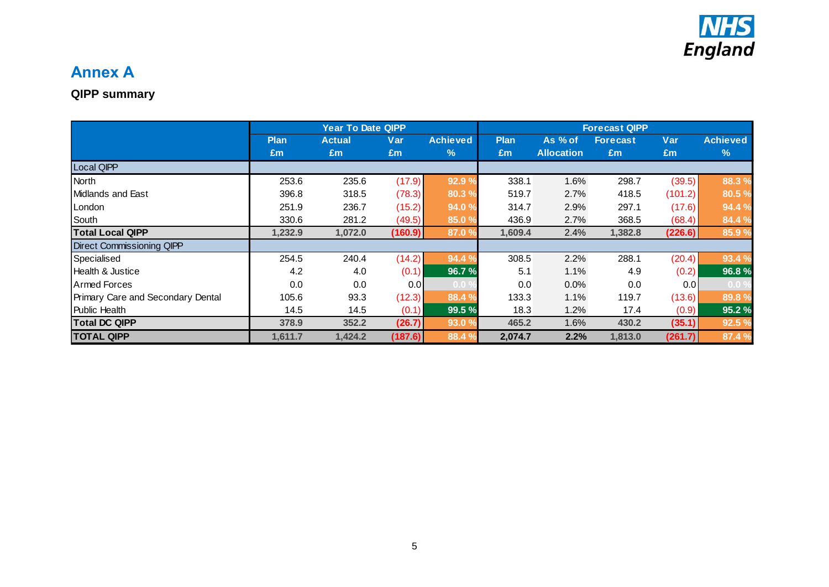

# **Annex A**

## **QIPP summary**

|                                          | <b>Year To Date QIPP</b> |               |         |                   | <b>Forecast QIPP</b> |                   |                 |         |                 |  |
|------------------------------------------|--------------------------|---------------|---------|-------------------|----------------------|-------------------|-----------------|---------|-----------------|--|
|                                          | <b>Plan</b>              | <b>Actual</b> | Var     | <b>Achieved</b>   | <b>Plan</b>          | As % of           | <b>Forecast</b> | Var     | <b>Achieved</b> |  |
|                                          | Em                       | Em            | £m      | %                 | Em                   | <b>Allocation</b> | Em              | Em      | %               |  |
| Local QIPP                               |                          |               |         |                   |                      |                   |                 |         |                 |  |
| North                                    | 253.6                    | 235.6         | (17.9)  | 92.9%             | 338.1                | 1.6%              | 298.7           | (39.5)  | 88.3 %          |  |
| Midlands and East                        | 396.8                    | 318.5         | (78.3)  | 80.3 %            | 519.7                | 2.7%              | 418.5           | (101.2) | 80.5 %          |  |
| London                                   | 251.9                    | 236.7         | (15.2)  | 94.0 %            | 314.7                | 2.9%              | 297.1           | (17.6)  | 94.4 %          |  |
| South                                    | 330.6                    | 281.2         | (49.5)  | 85.0 %            | 436.9                | 2.7%              | 368.5           | (68.4)  | 84.4 %          |  |
| <b>Total Local QIPP</b>                  | 1,232.9                  | 1,072.0       | (160.9) | 87.0 %            | 1,609.4              | 2.4%              | 1,382.8         | (226.6) | 85.9%           |  |
| <b>Direct Commissioning QIPP</b>         |                          |               |         |                   |                      |                   |                 |         |                 |  |
| Specialised                              | 254.5                    | 240.4         | (14.2)  | 94.4 %            | 308.5                | 2.2%              | 288.1           | (20.4)  | 93.4 %          |  |
| Health & Justice                         | 4.2                      | 4.0           | (0.1)   | 96.7%             | 5.1                  | 1.1%              | 4.9             | (0.2)   | 96.8%           |  |
| Armed Forces                             | 0.0                      | 0.0           | 0.0     | 0.0 <sub>1</sub>  | 0.0                  | $0.0\%$           | 0.0             | 0.0     | $0.0\%$         |  |
| <b>Primary Care and Secondary Dental</b> | 105.6                    | 93.3          | (12.3)  | 88.4 %            | 133.3                | 1.1%              | 119.7           | (13.6)  | 89.8%           |  |
| <b>Public Health</b>                     | 14.5                     | 14.5          | (0.1)   | 99.5 %            | 18.3                 | 1.2%              | 17.4            | (0.9)   | 95.2%           |  |
| <b>Total DC QIPP</b>                     | 378.9                    | 352.2         | (26.7)  | 93.0%             | 465.2                | 1.6%              | 430.2           | (35.1)  | 92.5 %          |  |
| <b>TOTAL QIPP</b>                        | 1,611.7                  | 1,424.2       | (187.6) | 88.4 <sup>9</sup> | 2,074.7              | 2.2%              | 1,813.0         | (261.7) | 87.4 %          |  |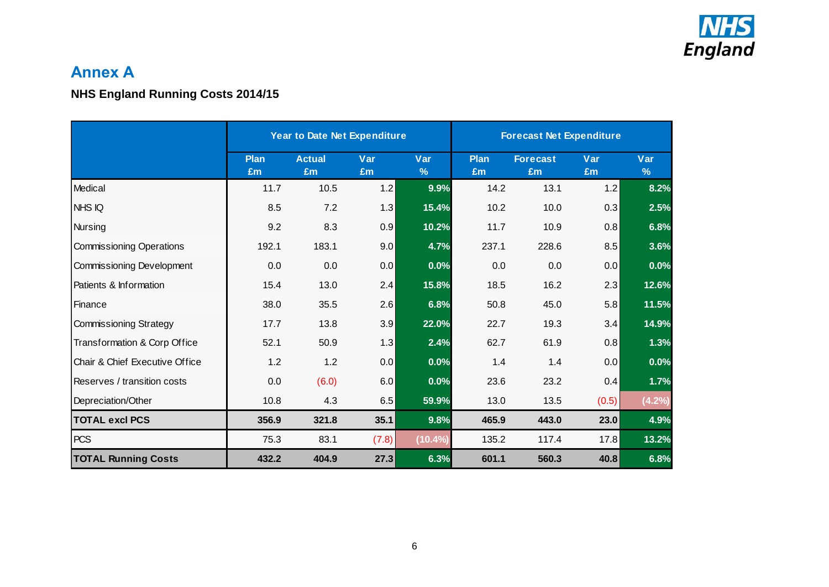

# **Annex A**

## **NHS England Running Costs 2014/15**

|                                 | Year to Date Net Expenditure |                     |           |                      | <b>Forecast Net Expenditure</b> |                       |           |                      |  |
|---------------------------------|------------------------------|---------------------|-----------|----------------------|---------------------------------|-----------------------|-----------|----------------------|--|
|                                 | <b>Plan</b><br>£m            | <b>Actual</b><br>£m | Var<br>Em | Var<br>$\frac{9}{6}$ | <b>Plan</b><br>£m               | <b>Forecast</b><br>£m | Var<br>£m | Var<br>$\frac{9}{6}$ |  |
| Medical                         | 11.7                         | 10.5                | 1.2       | 9.9%                 | 14.2                            | 13.1                  | 1.2       | 8.2%                 |  |
| NHS IQ                          | 8.5                          | 7.2                 | 1.3       | 15.4%                | 10.2                            | 10.0                  | 0.3       | 2.5%                 |  |
| <b>Nursing</b>                  | 9.2                          | 8.3                 | 0.9       | 10.2%                | 11.7                            | 10.9                  | 0.8       | 6.8%                 |  |
| <b>Commissioning Operations</b> | 192.1                        | 183.1               | 9.0       | 4.7%                 | 237.1                           | 228.6                 | 8.5       | 3.6%                 |  |
| Commissioning Development       | 0.0                          | 0.0                 | 0.0       | 0.0%                 | 0.0                             | 0.0                   | 0.0       | 0.0%                 |  |
| Patients & Information          | 15.4                         | 13.0                | 2.4       | 15.8%                | 18.5                            | 16.2                  | 2.3       | 12.6%                |  |
| Finance                         | 38.0                         | 35.5                | 2.6       | 6.8%                 | 50.8                            | 45.0                  | 5.8       | 11.5%                |  |
| <b>Commissioning Strategy</b>   | 17.7                         | 13.8                | 3.9       | 22.0%                | 22.7                            | 19.3                  | 3.4       | 14.9%                |  |
| Transformation & Corp Office    | 52.1                         | 50.9                | 1.3       | 2.4%                 | 62.7                            | 61.9                  | 0.8       | 1.3%                 |  |
| Chair & Chief Executive Office  | 1.2                          | 1.2                 | 0.0       | 0.0%                 | 1.4                             | 1.4                   | 0.0       | 0.0%                 |  |
| Reserves / transition costs     | 0.0                          | (6.0)               | 6.0       | 0.0%                 | 23.6                            | 23.2                  | 0.4       | 1.7%                 |  |
| Depreciation/Other              | 10.8                         | 4.3                 | 6.5       | 59.9%                | 13.0                            | 13.5                  | (0.5)     | (4.2%)               |  |
| <b>TOTAL excl PCS</b>           | 356.9                        | 321.8               | 35.1      | 9.8%                 | 465.9                           | 443.0                 | 23.0      | 4.9%                 |  |
| <b>PCS</b>                      | 75.3                         | 83.1                | (7.8)     | $(10.4\%)$           | 135.2                           | 117.4                 | 17.8      | 13.2%                |  |
| <b>TOTAL Running Costs</b>      | 432.2                        | 404.9               | 27.3      | 6.3%                 | 601.1                           | 560.3                 | 40.8      | 6.8%                 |  |